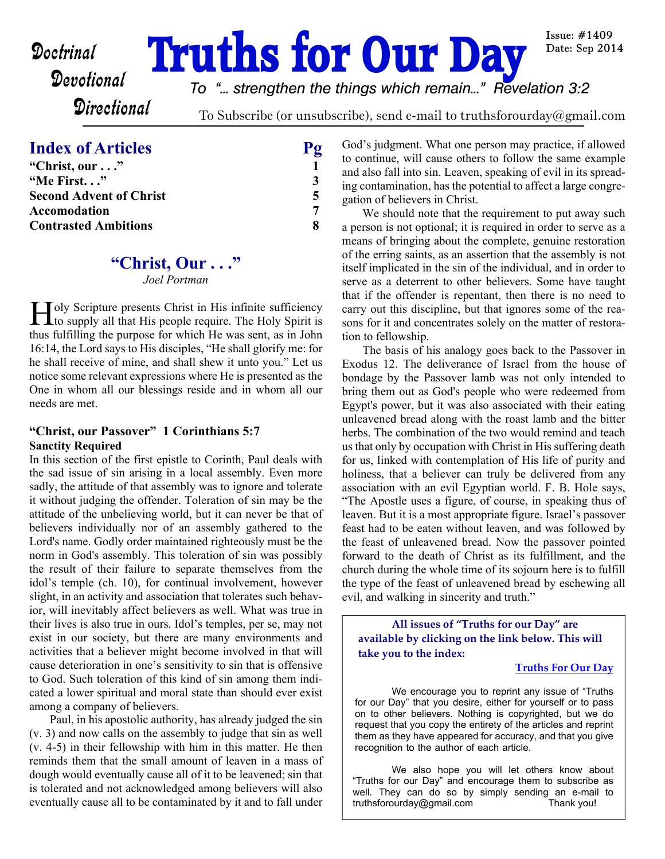# **Doctrinal Truths for Our Day**

*To "... strengthen the things which remain..." Revelation 3:2*

**Directional** 

To Subscribe (or unsubscribe), send e-mail to truthsforourday@gmail.com

# **Index of Articles** Pg

| "Christ, our"                  |   |
|--------------------------------|---|
| "Me First"                     | 3 |
| <b>Second Advent of Christ</b> |   |
| Accomodation                   |   |
| <b>Contrasted Ambitions</b>    | Я |

# **"Christ, Our . . ."**

*Joel Portman*

I Joly Scripture presents Christ in His infinite sufficiency<br>to supply all that His people require. The Holy Spirit is to supply all that His people require. The Holy Spirit is thus fulfilling the purpose for which He was sent, as in John 16:14, the Lord says to His disciples, "He shall glorify me: for he shall receive of mine, and shall shew it unto you." Let us notice some relevant expressions where He is presented as the One in whom all our blessings reside and in whom all our needs are met.

### **"Christ, our Passover" 1 Corinthians 5:7 Sanctity Required**

In this section of the first epistle to Corinth, Paul deals with the sad issue of sin arising in a local assembly. Even more sadly, the attitude of that assembly was to ignore and tolerate it without judging the offender. Toleration of sin may be the attitude of the unbelieving world, but it can never be that of believers individually nor of an assembly gathered to the Lord's name. Godly order maintained righteously must be the norm in God's assembly. This toleration of sin was possibly the result of their failure to separate themselves from the idol's temple (ch. 10), for continual involvement, however slight, in an activity and association that tolerates such behavior, will inevitably affect believers as well. What was true in their lives is also true in ours. Idol's temples, per se, may not exist in our society, but there are many environments and activities that a believer might become involved in that will cause deterioration in one's sensitivity to sin that is offensive to God. Such toleration of this kind of sin among them indicated a lower spiritual and moral state than should ever exist among a company of believers.

 Paul, in his apostolic authority, has already judged the sin (v. 3) and now calls on the assembly to judge that sin as well (v. 4-5) in their fellowship with him in this matter. He then reminds them that the small amount of leaven in a mass of dough would eventually cause all of it to be leavened; sin that is tolerated and not acknowledged among believers will also eventually cause all to be contaminated by it and to fall under God's judgment. What one person may practice, if allowed to continue, will cause others to follow the same example and also fall into sin. Leaven, speaking of evil in its spreading contamination, has the potential to affect a large congregation of believers in Christ.

 We should note that the requirement to put away such a person is not optional; it is required in order to serve as a means of bringing about the complete, genuine restoration of the erring saints, as an assertion that the assembly is not itself implicated in the sin of the individual, and in order to serve as a deterrent to other believers. Some have taught that if the offender is repentant, then there is no need to carry out this discipline, but that ignores some of the reasons for it and concentrates solely on the matter of restoration to fellowship.

 The basis of his analogy goes back to the Passover in Exodus 12. The deliverance of Israel from the house of bondage by the Passover lamb was not only intended to bring them out as God's people who were redeemed from Egypt's power, but it was also associated with their eating unleavened bread along with the roast lamb and the bitter herbs. The combination of the two would remind and teach us that only by occupation with Christ in His suffering death for us, linked with contemplation of His life of purity and holiness, that a believer can truly be delivered from any association with an evil Egyptian world. F. B. Hole says, "The Apostle uses a figure, of course, in speaking thus of leaven. But it is a most appropriate figure. Israel's passover feast had to be eaten without leaven, and was followed by the feast of unleavened bread. Now the passover pointed forward to the death of Christ as its fulfillment, and the church during the whole time of its sojourn here is to fulfill the type of the feast of unleavened bread by eschewing all evil, and walking in sincerity and truth."

**All issues of "Truths for our Day" are available by clicking on the link below. This will take you to the index:**

#### **[Truths For Our Day](http://truthsforourday.com)**

 We encourage you to reprint any issue of "Truths for our Day" that you desire, either for yourself or to pass on to other believers. Nothing is copyrighted, but we do request that you copy the entirety of the articles and reprint them as they have appeared for accuracy, and that you give recognition to the author of each article.

 We also hope you will let others know about "Truths for our Day" and encourage them to subscribe as well. They can do so by simply sending an e-mail to truthsforourday@gmail.com Thank you!

Issue:  $\#1409$ Date: Sep 2014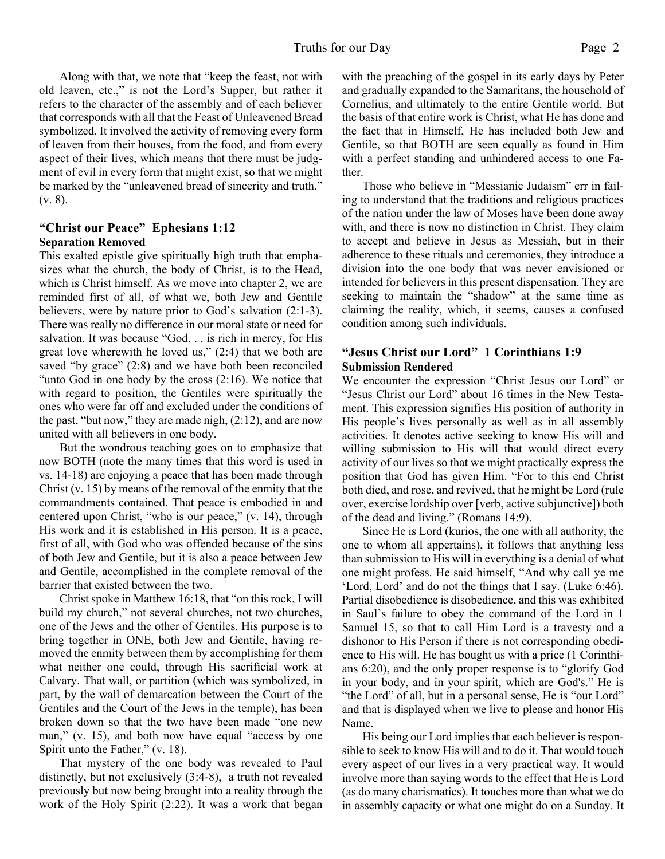Along with that, we note that "keep the feast, not with old leaven, etc.," is not the Lord's Supper, but rather it refers to the character of the assembly and of each believer that corresponds with all that the Feast of Unleavened Bread symbolized. It involved the activity of removing every form of leaven from their houses, from the food, and from every aspect of their lives, which means that there must be judgment of evil in every form that might exist, so that we might be marked by the "unleavened bread of sincerity and truth." (v. 8).

#### **"Christ our Peace" Ephesians 1:12 Separation Removed**

This exalted epistle give spiritually high truth that emphasizes what the church, the body of Christ, is to the Head, which is Christ himself. As we move into chapter 2, we are reminded first of all, of what we, both Jew and Gentile believers, were by nature prior to God's salvation (2:1-3). There was really no difference in our moral state or need for salvation. It was because "God. . . is rich in mercy, for His great love wherewith he loved us," (2:4) that we both are saved "by grace" (2:8) and we have both been reconciled "unto God in one body by the cross (2:16). We notice that with regard to position, the Gentiles were spiritually the ones who were far off and excluded under the conditions of the past, "but now," they are made nigh, (2:12), and are now united with all believers in one body.

 But the wondrous teaching goes on to emphasize that now BOTH (note the many times that this word is used in vs. 14-18) are enjoying a peace that has been made through Christ (v. 15) by means of the removal of the enmity that the commandments contained. That peace is embodied in and centered upon Christ, "who is our peace," (v. 14), through His work and it is established in His person. It is a peace, first of all, with God who was offended because of the sins of both Jew and Gentile, but it is also a peace between Jew and Gentile, accomplished in the complete removal of the barrier that existed between the two.

 Christ spoke in Matthew 16:18, that "on this rock, I will build my church," not several churches, not two churches, one of the Jews and the other of Gentiles. His purpose is to bring together in ONE, both Jew and Gentile, having removed the enmity between them by accomplishing for them what neither one could, through His sacrificial work at Calvary. That wall, or partition (which was symbolized, in part, by the wall of demarcation between the Court of the Gentiles and the Court of the Jews in the temple), has been broken down so that the two have been made "one new man," (v. 15), and both now have equal "access by one Spirit unto the Father," (v. 18).

 That mystery of the one body was revealed to Paul distinctly, but not exclusively (3:4-8), a truth not revealed previously but now being brought into a reality through the work of the Holy Spirit (2:22). It was a work that began with the preaching of the gospel in its early days by Peter and gradually expanded to the Samaritans, the household of Cornelius, and ultimately to the entire Gentile world. But the basis of that entire work is Christ, what He has done and the fact that in Himself, He has included both Jew and Gentile, so that BOTH are seen equally as found in Him with a perfect standing and unhindered access to one Father.

 Those who believe in "Messianic Judaism" err in failing to understand that the traditions and religious practices of the nation under the law of Moses have been done away with, and there is now no distinction in Christ. They claim to accept and believe in Jesus as Messiah, but in their adherence to these rituals and ceremonies, they introduce a division into the one body that was never envisioned or intended for believers in this present dispensation. They are seeking to maintain the "shadow" at the same time as claiming the reality, which, it seems, causes a confused condition among such individuals.

#### **"Jesus Christ our Lord" 1 Corinthians 1:9 Submission Rendered**

We encounter the expression "Christ Jesus our Lord" or "Jesus Christ our Lord" about 16 times in the New Testament. This expression signifies His position of authority in His people's lives personally as well as in all assembly activities. It denotes active seeking to know His will and willing submission to His will that would direct every activity of our lives so that we might practically express the position that God has given Him. "For to this end Christ both died, and rose, and revived, that he might be Lord (rule over, exercise lordship over [verb, active subjunctive]) both of the dead and living." (Romans 14:9).

 Since He is Lord (kurios, the one with all authority, the one to whom all appertains), it follows that anything less than submission to His will in everything is a denial of what one might profess. He said himself, "And why call ye me 'Lord, Lord' and do not the things that I say. (Luke 6:46). Partial disobedience is disobedience, and this was exhibited in Saul's failure to obey the command of the Lord in 1 Samuel 15, so that to call Him Lord is a travesty and a dishonor to His Person if there is not corresponding obedience to His will. He has bought us with a price (1 Corinthians 6:20), and the only proper response is to "glorify God in your body, and in your spirit, which are God's." He is "the Lord" of all, but in a personal sense, He is "our Lord" and that is displayed when we live to please and honor His Name.

His being our Lord implies that each believer is responsible to seek to know His will and to do it. That would touch every aspect of our lives in a very practical way. It would involve more than saying words to the effect that He is Lord (as do many charismatics). It touches more than what we do in assembly capacity or what one might do on a Sunday. It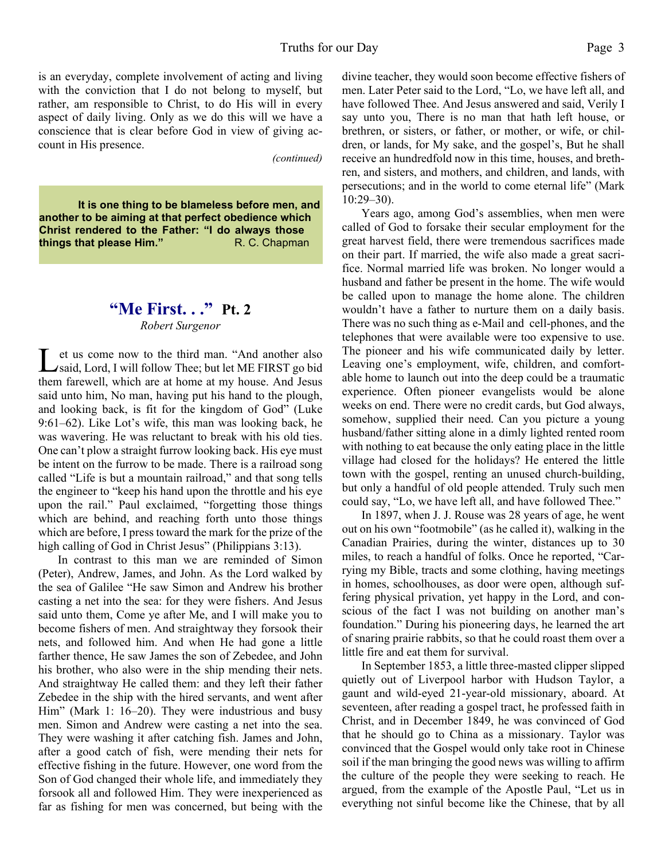is an everyday, complete involvement of acting and living with the conviction that I do not belong to myself, but rather, am responsible to Christ, to do His will in every aspect of daily living. Only as we do this will we have a conscience that is clear before God in view of giving account in His presence.

*(continued)*

**It is one thing to be blameless before men, and another to be aiming at that perfect obedience which Christ rendered to the Father: "I do always those things that please Him."** R. C. Chapman

# **"Me First. . ." Pt. 2** *Robert Surgenor*

Let us come now to the third man. "And another also<br>
said, Lord, I will follow Thee; but let ME FIRST go bid et us come now to the third man. "And another also them farewell, which are at home at my house. And Jesus said unto him, No man, having put his hand to the plough, and looking back, is fit for the kingdom of God" (Luke 9:61–62). Like Lot's wife, this man was looking back, he was wavering. He was reluctant to break with his old ties. One can't plow a straight furrow looking back. His eye must be intent on the furrow to be made. There is a railroad song called "Life is but a mountain railroad," and that song tells the engineer to "keep his hand upon the throttle and his eye upon the rail." Paul exclaimed, "forgetting those things which are behind, and reaching forth unto those things which are before, I press toward the mark for the prize of the high calling of God in Christ Jesus" (Philippians 3:13).

In contrast to this man we are reminded of Simon (Peter), Andrew, James, and John. As the Lord walked by the sea of Galilee "He saw Simon and Andrew his brother casting a net into the sea: for they were fishers. And Jesus said unto them, Come ye after Me, and I will make you to become fishers of men. And straightway they forsook their nets, and followed him. And when He had gone a little farther thence, He saw James the son of Zebedee, and John his brother, who also were in the ship mending their nets. And straightway He called them: and they left their father Zebedee in the ship with the hired servants, and went after Him" (Mark 1: 16–20). They were industrious and busy men. Simon and Andrew were casting a net into the sea. They were washing it after catching fish. James and John, after a good catch of fish, were mending their nets for effective fishing in the future. However, one word from the Son of God changed their whole life, and immediately they forsook all and followed Him. They were inexperienced as far as fishing for men was concerned, but being with the divine teacher, they would soon become effective fishers of men. Later Peter said to the Lord, "Lo, we have left all, and have followed Thee. And Jesus answered and said, Verily I say unto you, There is no man that hath left house, or brethren, or sisters, or father, or mother, or wife, or children, or lands, for My sake, and the gospel's, But he shall receive an hundredfold now in this time, houses, and brethren, and sisters, and mothers, and children, and lands, with persecutions; and in the world to come eternal life" (Mark 10:29–30).

Years ago, among God's assemblies, when men were called of God to forsake their secular employment for the great harvest field, there were tremendous sacrifices made on their part. If married, the wife also made a great sacrifice. Normal married life was broken. No longer would a husband and father be present in the home. The wife would be called upon to manage the home alone. The children wouldn't have a father to nurture them on a daily basis. There was no such thing as e-Mail and cell-phones, and the telephones that were available were too expensive to use. The pioneer and his wife communicated daily by letter. Leaving one's employment, wife, children, and comfortable home to launch out into the deep could be a traumatic experience. Often pioneer evangelists would be alone weeks on end. There were no credit cards, but God always, somehow, supplied their need. Can you picture a young husband/father sitting alone in a dimly lighted rented room with nothing to eat because the only eating place in the little village had closed for the holidays? He entered the little town with the gospel, renting an unused church-building, but only a handful of old people attended. Truly such men could say, "Lo, we have left all, and have followed Thee."

In 1897, when J. J. Rouse was 28 years of age, he went out on his own "footmobile" (as he called it), walking in the Canadian Prairies, during the winter, distances up to 30 miles, to reach a handful of folks. Once he reported, "Carrying my Bible, tracts and some clothing, having meetings in homes, schoolhouses, as door were open, although suffering physical privation, yet happy in the Lord, and conscious of the fact I was not building on another man's foundation." During his pioneering days, he learned the art of snaring prairie rabbits, so that he could roast them over a little fire and eat them for survival.

In September 1853, a little three-masted clipper slipped quietly out of Liverpool harbor with Hudson Taylor, a gaunt and wild-eyed 21-year-old missionary, aboard. At seventeen, after reading a gospel tract, he professed faith in Christ, and in December 1849, he was convinced of God that he should go to China as a missionary. Taylor was convinced that the Gospel would only take root in Chinese soil if the man bringing the good news was willing to affirm the culture of the people they were seeking to reach. He argued, from the example of the Apostle Paul, "Let us in everything not sinful become like the Chinese, that by all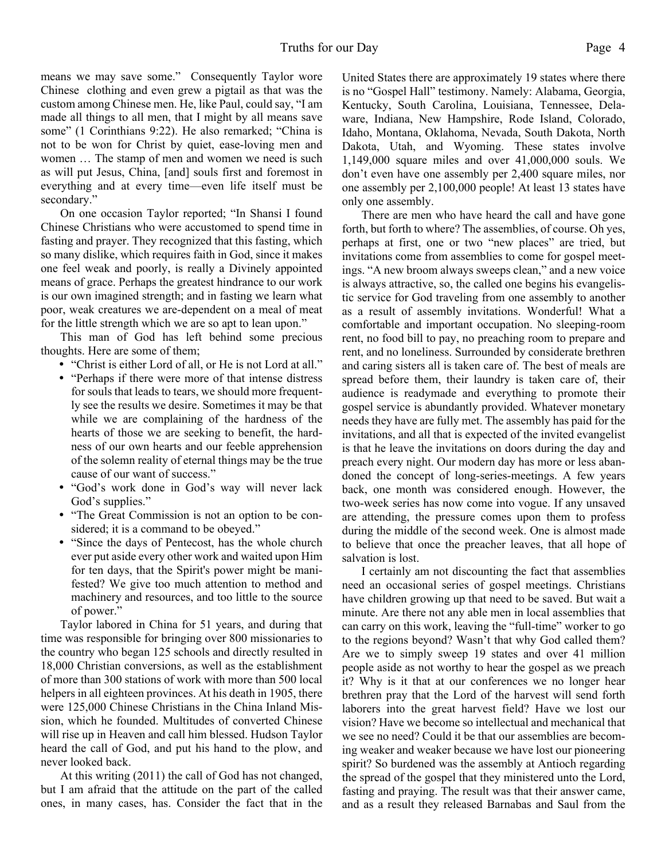means we may save some." Consequently Taylor wore Chinese clothing and even grew a pigtail as that was the custom among Chinese men. He, like Paul, could say, "I am made all things to all men, that I might by all means save some" (1 Corinthians 9:22). He also remarked; "China is not to be won for Christ by quiet, ease-loving men and women … The stamp of men and women we need is such as will put Jesus, China, [and] souls first and foremost in everything and at every time—even life itself must be secondary."

On one occasion Taylor reported; "In Shansi I found Chinese Christians who were accustomed to spend time in fasting and prayer. They recognized that this fasting, which so many dislike, which requires faith in God, since it makes one feel weak and poorly, is really a Divinely appointed means of grace. Perhaps the greatest hindrance to our work is our own imagined strength; and in fasting we learn what poor, weak creatures we are-dependent on a meal of meat for the little strength which we are so apt to lean upon."

This man of God has left behind some precious thoughts. Here are some of them;

- ü "Christ is either Lord of all, or He is not Lord at all."
- "Perhaps if there were more of that intense distress for souls that leads to tears, we should more frequently see the results we desire. Sometimes it may be that while we are complaining of the hardness of the hearts of those we are seeking to benefit, the hardness of our own hearts and our feeble apprehension of the solemn reality of eternal things may be the true cause of our want of success."
- ü "God's work done in God's way will never lack God's supplies."
- "The Great Commission is not an option to be considered; it is a command to be obeyed."
- ü "Since the days of Pentecost, has the whole church ever put aside every other work and waited upon Him for ten days, that the Spirit's power might be manifested? We give too much attention to method and machinery and resources, and too little to the source of power."

Taylor labored in China for 51 years, and during that time was responsible for bringing over 800 missionaries to the country who began 125 schools and directly resulted in 18,000 Christian conversions, as well as the establishment of more than 300 stations of work with more than 500 local helpers in all eighteen provinces. At his death in 1905, there were 125,000 Chinese Christians in the China Inland Mission, which he founded. Multitudes of converted Chinese will rise up in Heaven and call him blessed. Hudson Taylor heard the call of God, and put his hand to the plow, and never looked back.

At this writing (2011) the call of God has not changed, but I am afraid that the attitude on the part of the called ones, in many cases, has. Consider the fact that in the United States there are approximately 19 states where there is no "Gospel Hall" testimony. Namely: Alabama, Georgia, Kentucky, South Carolina, Louisiana, Tennessee, Delaware, Indiana, New Hampshire, Rode Island, Colorado, Idaho, Montana, Oklahoma, Nevada, South Dakota, North Dakota, Utah, and Wyoming. These states involve 1,149,000 square miles and over 41,000,000 souls. We don't even have one assembly per 2,400 square miles, nor one assembly per 2,100,000 people! At least 13 states have only one assembly.

There are men who have heard the call and have gone forth, but forth to where? The assemblies, of course. Oh yes, perhaps at first, one or two "new places" are tried, but invitations come from assemblies to come for gospel meetings. "A new broom always sweeps clean," and a new voice is always attractive, so, the called one begins his evangelistic service for God traveling from one assembly to another as a result of assembly invitations. Wonderful! What a comfortable and important occupation. No sleeping-room rent, no food bill to pay, no preaching room to prepare and rent, and no loneliness. Surrounded by considerate brethren and caring sisters all is taken care of. The best of meals are spread before them, their laundry is taken care of, their audience is readymade and everything to promote their gospel service is abundantly provided. Whatever monetary needs they have are fully met. The assembly has paid for the invitations, and all that is expected of the invited evangelist is that he leave the invitations on doors during the day and preach every night. Our modern day has more or less abandoned the concept of long-series-meetings. A few years back, one month was considered enough. However, the two-week series has now come into vogue. If any unsaved are attending, the pressure comes upon them to profess during the middle of the second week. One is almost made to believe that once the preacher leaves, that all hope of salvation is lost.

I certainly am not discounting the fact that assemblies need an occasional series of gospel meetings. Christians have children growing up that need to be saved. But wait a minute. Are there not any able men in local assemblies that can carry on this work, leaving the "full-time" worker to go to the regions beyond? Wasn't that why God called them? Are we to simply sweep 19 states and over 41 million people aside as not worthy to hear the gospel as we preach it? Why is it that at our conferences we no longer hear brethren pray that the Lord of the harvest will send forth laborers into the great harvest field? Have we lost our vision? Have we become so intellectual and mechanical that we see no need? Could it be that our assemblies are becoming weaker and weaker because we have lost our pioneering spirit? So burdened was the assembly at Antioch regarding the spread of the gospel that they ministered unto the Lord, fasting and praying. The result was that their answer came, and as a result they released Barnabas and Saul from the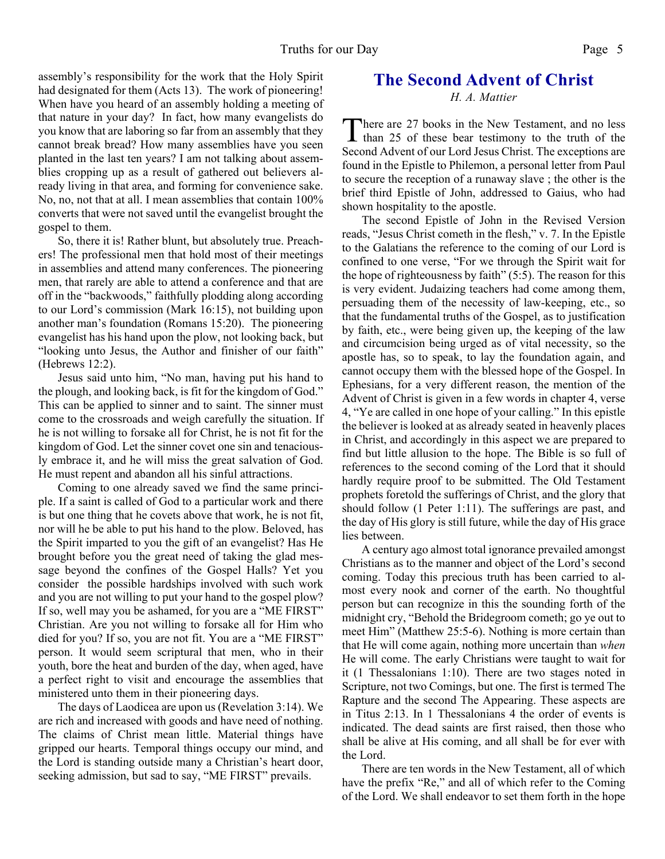assembly's responsibility for the work that the Holy Spirit had designated for them (Acts 13). The work of pioneering! When have you heard of an assembly holding a meeting of that nature in your day? In fact, how many evangelists do you know that are laboring so far from an assembly that they cannot break bread? How many assemblies have you seen planted in the last ten years? I am not talking about assemblies cropping up as a result of gathered out believers already living in that area, and forming for convenience sake. No, no, not that at all. I mean assemblies that contain 100% converts that were not saved until the evangelist brought the gospel to them.

So, there it is! Rather blunt, but absolutely true. Preachers! The professional men that hold most of their meetings in assemblies and attend many conferences. The pioneering men, that rarely are able to attend a conference and that are off in the "backwoods," faithfully plodding along according to our Lord's commission (Mark 16:15), not building upon another man's foundation (Romans 15:20). The pioneering evangelist has his hand upon the plow, not looking back, but "looking unto Jesus, the Author and finisher of our faith" (Hebrews 12:2).

Jesus said unto him, "No man, having put his hand to the plough, and looking back, is fit for the kingdom of God." This can be applied to sinner and to saint. The sinner must come to the crossroads and weigh carefully the situation. If he is not willing to forsake all for Christ, he is not fit for the kingdom of God. Let the sinner covet one sin and tenaciously embrace it, and he will miss the great salvation of God. He must repent and abandon all his sinful attractions.

Coming to one already saved we find the same principle. If a saint is called of God to a particular work and there is but one thing that he covets above that work, he is not fit, nor will he be able to put his hand to the plow. Beloved, has the Spirit imparted to you the gift of an evangelist? Has He brought before you the great need of taking the glad message beyond the confines of the Gospel Halls? Yet you consider the possible hardships involved with such work and you are not willing to put your hand to the gospel plow? If so, well may you be ashamed, for you are a "ME FIRST" Christian. Are you not willing to forsake all for Him who died for you? If so, you are not fit. You are a "ME FIRST" person. It would seem scriptural that men, who in their youth, bore the heat and burden of the day, when aged, have a perfect right to visit and encourage the assemblies that ministered unto them in their pioneering days.

The days of Laodicea are upon us (Revelation 3:14). We are rich and increased with goods and have need of nothing. The claims of Christ mean little. Material things have gripped our hearts. Temporal things occupy our mind, and the Lord is standing outside many a Christian's heart door, seeking admission, but sad to say, "ME FIRST" prevails.

# **The Second Advent of Christ**

*H. A. Mattier*

There are 27 books in the New Testament, and no less<br>than 25 of these bear testimony to the truth of the<br>Second Advent of our Lord Jesus Christ. The exceptions are here are 27 books in the New Testament, and no less than 25 of these bear testimony to the truth of the found in the Epistle to Philemon, a personal letter from Paul to secure the reception of a runaway slave ; the other is the brief third Epistle of John, addressed to Gaius, who had shown hospitality to the apostle.

The second Epistle of John in the Revised Version reads, "Jesus Christ cometh in the flesh," v. 7. In the Epistle to the Galatians the reference to the coming of our Lord is confined to one verse, "For we through the Spirit wait for the hope of righteousness by faith" (5:5). The reason for this is very evident. Judaizing teachers had come among them, persuading them of the necessity of law-keeping, etc., so that the fundamental truths of the Gospel, as to justification by faith, etc., were being given up, the keeping of the law and circumcision being urged as of vital necessity, so the apostle has, so to speak, to lay the foundation again, and cannot occupy them with the blessed hope of the Gospel. In Ephesians, for a very different reason, the mention of the Advent of Christ is given in a few words in chapter 4, verse 4, "Ye are called in one hope of your calling." In this epistle the believer is looked at as already seated in heavenly places in Christ, and accordingly in this aspect we are prepared to find but little allusion to the hope. The Bible is so full of references to the second coming of the Lord that it should hardly require proof to be submitted. The Old Testament prophets foretold the sufferings of Christ, and the glory that should follow (1 Peter 1:11). The sufferings are past, and the day of His glory is still future, while the day of His grace lies between.

 A century ago almost total ignorance prevailed amongst Christians as to the manner and object of the Lord's second coming. Today this precious truth has been carried to almost every nook and corner of the earth. No thoughtful person but can recognize in this the sounding forth of the midnight cry, "Behold the Bridegroom cometh; go ye out to meet Him" (Matthew 25:5-6). Nothing is more certain than that He will come again, nothing more uncertain than *when* He will come. The early Christians were taught to wait for it (1 Thessalonians 1:10). There are two stages noted in Scripture, not two Comings, but one. The first is termed The Rapture and the second The Appearing. These aspects are in Titus 2:13. In 1 Thessalonians 4 the order of events is indicated. The dead saints are first raised, then those who shall be alive at His coming, and all shall be for ever with the Lord.

 There are ten words in the New Testament, all of which have the prefix "Re," and all of which refer to the Coming of the Lord. We shall endeavor to set them forth in the hope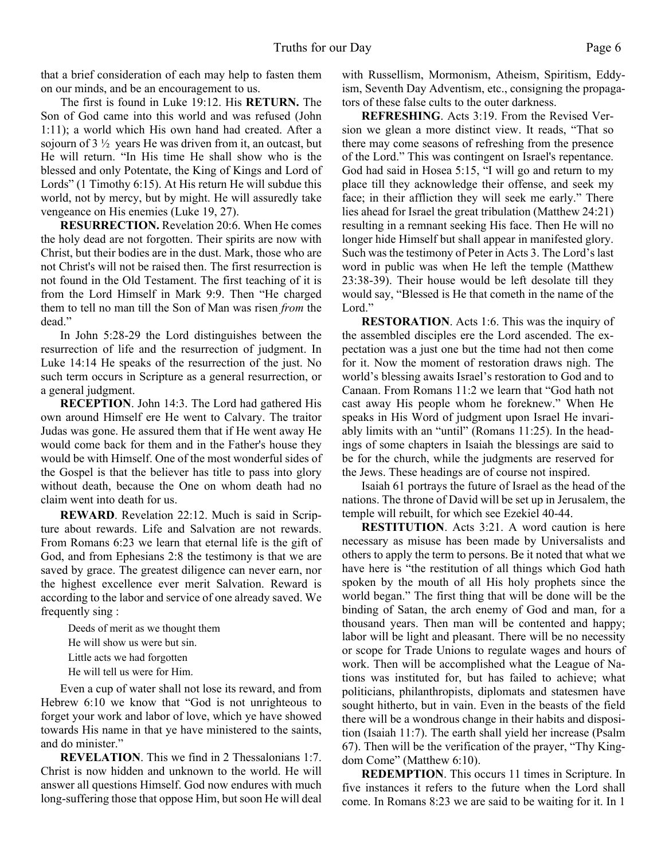that a brief consideration of each may help to fasten them on our minds, and be an encouragement to us.

 The first is found in Luke 19:12. His **RETURN.** The Son of God came into this world and was refused (John 1:11); a world which His own hand had created. After a sojourn of 3 ½ years He was driven from it, an outcast, but He will return. "In His time He shall show who is the blessed and only Potentate, the King of Kings and Lord of Lords" (1 Timothy 6:15). At His return He will subdue this world, not by mercy, but by might. He will assuredly take vengeance on His enemies (Luke 19, 27).

 **RESURRECTION.** Revelation 20:6. When He comes the holy dead are not forgotten. Their spirits are now with Christ, but their bodies are in the dust. Mark, those who are not Christ's will not be raised then. The first resurrection is not found in the Old Testament. The first teaching of it is from the Lord Himself in Mark 9:9. Then "He charged them to tell no man till the Son of Man was risen *from* the dead."

 In John 5:28-29 the Lord distinguishes between the resurrection of life and the resurrection of judgment. In Luke 14:14 He speaks of the resurrection of the just. No such term occurs in Scripture as a general resurrection, or a general judgment.

**RECEPTION**. John 14:3. The Lord had gathered His own around Himself ere He went to Calvary. The traitor Judas was gone. He assured them that if He went away He would come back for them and in the Father's house they would be with Himself. One of the most wonderful sides of the Gospel is that the believer has title to pass into glory without death, because the One on whom death had no claim went into death for us.

**REWARD**. Revelation 22:12. Much is said in Scripture about rewards. Life and Salvation are not rewards. From Romans 6:23 we learn that eternal life is the gift of God, and from Ephesians 2:8 the testimony is that we are saved by grace. The greatest diligence can never earn, nor the highest excellence ever merit Salvation. Reward is according to the labor and service of one already saved. We frequently sing :

Deeds of merit as we thought them He will show us were but sin. Little acts we had forgotten He will tell us were for Him.

 Even a cup of water shall not lose its reward, and from Hebrew 6:10 we know that "God is not unrighteous to forget your work and labor of love, which ye have showed towards His name in that ye have ministered to the saints, and do minister."

**REVELATION**. This we find in 2 Thessalonians 1:7. Christ is now hidden and unknown to the world. He will answer all questions Himself. God now endures with much long-suffering those that oppose Him, but soon He will deal with Russellism, Mormonism, Atheism, Spiritism, Eddyism, Seventh Day Adventism, etc., consigning the propagators of these false cults to the outer darkness.

 **REFRESHING**. Acts 3:19. From the Revised Version we glean a more distinct view. It reads, "That so there may come seasons of refreshing from the presence of the Lord." This was contingent on Israel's repentance. God had said in Hosea 5:15, "I will go and return to my place till they acknowledge their offense, and seek my face; in their affliction they will seek me early." There lies ahead for Israel the great tribulation (Matthew 24:21) resulting in a remnant seeking His face. Then He will no longer hide Himself but shall appear in manifested glory. Such was the testimony of Peter in Acts 3. The Lord's last word in public was when He left the temple (Matthew 23:38-39). Their house would be left desolate till they would say, "Blessed is He that cometh in the name of the Lord."

**RESTORATION**. Acts 1:6. This was the inquiry of the assembled disciples ere the Lord ascended. The expectation was a just one but the time had not then come for it. Now the moment of restoration draws nigh. The world's blessing awaits Israel's restoration to God and to Canaan. From Romans 11:2 we learn that "God hath not cast away His people whom he foreknew." When He speaks in His Word of judgment upon Israel He invariably limits with an "until" (Romans 11:25). In the headings of some chapters in Isaiah the blessings are said to be for the church, while the judgments are reserved for the Jews. These headings are of course not inspired.

 Isaiah 61 portrays the future of Israel as the head of the nations. The throne of David will be set up in Jerusalem, the temple will rebuilt, for which see Ezekiel 40-44.

**RESTITUTION.** Acts 3:21. A word caution is here necessary as misuse has been made by Universalists and others to apply the term to persons. Be it noted that what we have here is "the restitution of all things which God hath spoken by the mouth of all His holy prophets since the world began." The first thing that will be done will be the binding of Satan, the arch enemy of God and man, for a thousand years. Then man will be contented and happy; labor will be light and pleasant. There will be no necessity or scope for Trade Unions to regulate wages and hours of work. Then will be accomplished what the League of Nations was instituted for, but has failed to achieve; what politicians, philanthropists, diplomats and statesmen have sought hitherto, but in vain. Even in the beasts of the field there will be a wondrous change in their habits and disposition (Isaiah 11:7). The earth shall yield her increase (Psalm 67). Then will be the verification of the prayer, "Thy Kingdom Come" (Matthew 6:10).

**REDEMPTION**. This occurs 11 times in Scripture. In five instances it refers to the future when the Lord shall come. In Romans 8:23 we are said to be waiting for it. In 1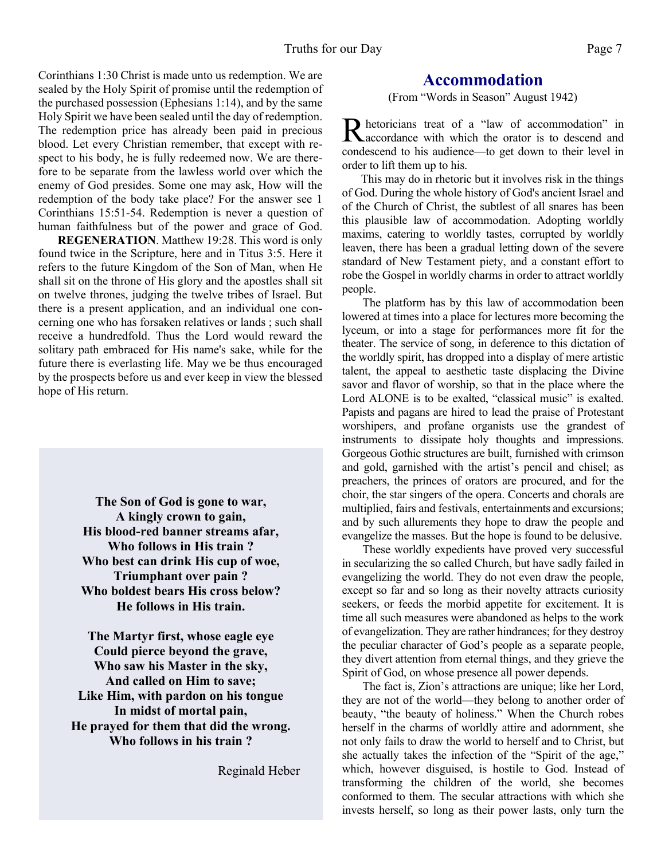Corinthians 1:30 Christ is made unto us redemption. We are sealed by the Holy Spirit of promise until the redemption of the purchased possession (Ephesians 1:14), and by the same Holy Spirit we have been sealed until the day of redemption. The redemption price has already been paid in precious blood. Let every Christian remember, that except with respect to his body, he is fully redeemed now. We are therefore to be separate from the lawless world over which the enemy of God presides. Some one may ask, How will the redemption of the body take place? For the answer see 1 Corinthians 15:51-54. Redemption is never a question of human faithfulness but of the power and grace of God.

**REGENERATION**. Matthew 19:28. This word is only found twice in the Scripture, here and in Titus 3:5. Here it refers to the future Kingdom of the Son of Man, when He shall sit on the throne of His glory and the apostles shall sit on twelve thrones, judging the twelve tribes of Israel. But there is a present application, and an individual one concerning one who has forsaken relatives or lands ; such shall receive a hundredfold. Thus the Lord would reward the solitary path embraced for His name's sake, while for the future there is everlasting life. May we be thus encouraged by the prospects before us and ever keep in view the blessed hope of His return.

> **The Son of God is gone to war, A kingly crown to gain, His blood-red banner streams afar, Who follows in His train ? Who best can drink His cup of woe, Triumphant over pain ? Who boldest bears His cross below? He follows in His train.**

**The Martyr first, whose eagle eye Could pierce beyond the grave, Who saw his Master in the sky, And called on Him to save; Like Him, with pardon on his tongue In midst of mortal pain, He prayed for them that did the wrong. Who follows in his train ?**

Reginald Heber

## **Accommodation**

(From "Words in Season" August 1942)

R hetoricians treat of a "law of accommodation" in<br>accordance with which the orator is to descend and hetoricians treat of a "law of accommodation" in condescend to his audience—to get down to their level in order to lift them up to his.

This may do in rhetoric but it involves risk in the things of God. During the whole history of God's ancient Israel and of the Church of Christ, the subtlest of all snares has been this plausible law of accommodation. Adopting worldly maxims, catering to worldly tastes, corrupted by worldly leaven, there has been a gradual letting down of the severe standard of New Testament piety, and a constant effort to robe the Gospel in worldly charms in order to attract worldly people.

The platform has by this law of accommodation been lowered at times into a place for lectures more becoming the lyceum, or into a stage for performances more fit for the theater. The service of song, in deference to this dictation of the worldly spirit, has dropped into a display of mere artistic talent, the appeal to aesthetic taste displacing the Divine savor and flavor of worship, so that in the place where the Lord ALONE is to be exalted, "classical music" is exalted. Papists and pagans are hired to lead the praise of Protestant worshipers, and profane organists use the grandest of instruments to dissipate holy thoughts and impressions. Gorgeous Gothic structures are built, furnished with crimson and gold, garnished with the artist's pencil and chisel; as preachers, the princes of orators are procured, and for the choir, the star singers of the opera. Concerts and chorals are multiplied, fairs and festivals, entertainments and excursions; and by such allurements they hope to draw the people and evangelize the masses. But the hope is found to be delusive.

 These worldly expedients have proved very successful in secularizing the so called Church, but have sadly failed in evangelizing the world. They do not even draw the people, except so far and so long as their novelty attracts curiosity seekers, or feeds the morbid appetite for excitement. It is time all such measures were abandoned as helps to the work of evangelization. They are rather hindrances; for they destroy the peculiar character of God's people as a separate people, they divert attention from eternal things, and they grieve the Spirit of God, on whose presence all power depends.

 The fact is, Zion's attractions are unique; like her Lord, they are not of the world—they belong to another order of beauty, "the beauty of holiness." When the Church robes herself in the charms of worldly attire and adornment, she not only fails to draw the world to herself and to Christ, but she actually takes the infection of the "Spirit of the age," which, however disguised, is hostile to God. Instead of transforming the children of the world, she becomes conformed to them. The secular attractions with which she invests herself, so long as their power lasts, only turn the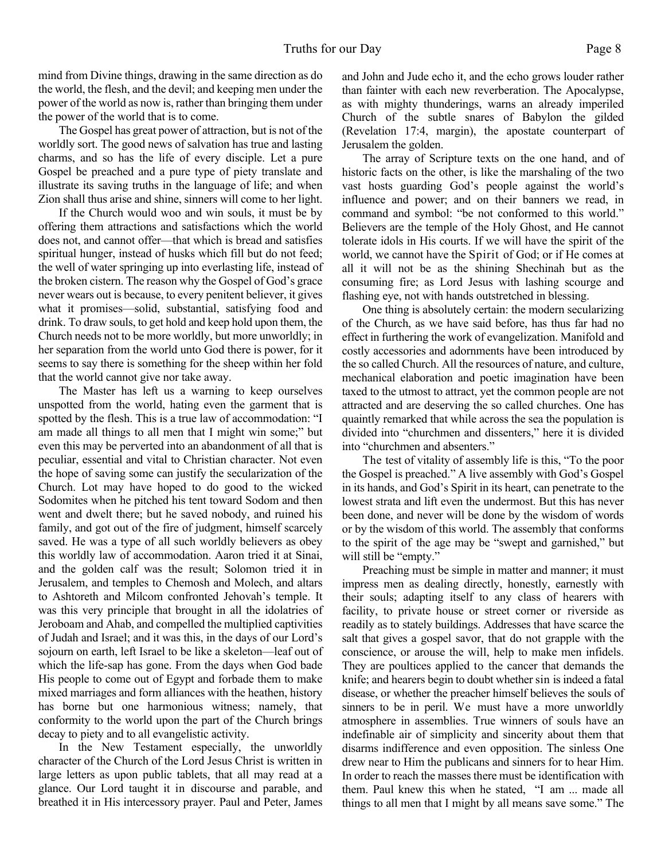mind from Divine things, drawing in the same direction as do the world, the flesh, and the devil; and keeping men under the power of the world as now is, rather than bringing them under the power of the world that is to come.

 The Gospel has great power of attraction, but is not of the worldly sort. The good news of salvation has true and lasting charms, and so has the life of every disciple. Let a pure Gospel be preached and a pure type of piety translate and illustrate its saving truths in the language of life; and when Zion shall thus arise and shine, sinners will come to her light.

 If the Church would woo and win souls, it must be by offering them attractions and satisfactions which the world does not, and cannot offer—that which is bread and satisfies spiritual hunger, instead of husks which fill but do not feed; the well of water springing up into everlasting life, instead of the broken cistern. The reason why the Gospel of God's grace never wears out is because, to every penitent believer, it gives what it promises—solid, substantial, satisfying food and drink. To draw souls, to get hold and keep hold upon them, the Church needs not to be more worldly, but more unworldly; in her separation from the world unto God there is power, for it seems to say there is something for the sheep within her fold that the world cannot give nor take away.

 The Master has left us a warning to keep ourselves unspotted from the world, hating even the garment that is spotted by the flesh. This is a true law of accommodation: "I am made all things to all men that I might win some;" but even this may be perverted into an abandonment of all that is peculiar, essential and vital to Christian character. Not even the hope of saving some can justify the secularization of the Church. Lot may have hoped to do good to the wicked Sodomites when he pitched his tent toward Sodom and then went and dwelt there; but he saved nobody, and ruined his family, and got out of the fire of judgment, himself scarcely saved. He was a type of all such worldly believers as obey this worldly law of accommodation. Aaron tried it at Sinai, and the golden calf was the result; Solomon tried it in Jerusalem, and temples to Chemosh and Molech, and altars to Ashtoreth and Milcom confronted Jehovah's temple. It was this very principle that brought in all the idolatries of Jeroboam and Ahab, and compelled the multiplied captivities of Judah and Israel; and it was this, in the days of our Lord's sojourn on earth, left Israel to be like a skeleton—leaf out of which the life-sap has gone. From the days when God bade His people to come out of Egypt and forbade them to make mixed marriages and form alliances with the heathen, history has borne but one harmonious witness; namely, that conformity to the world upon the part of the Church brings decay to piety and to all evangelistic activity.

 In the New Testament especially, the unworldly character of the Church of the Lord Jesus Christ is written in large letters as upon public tablets, that all may read at a glance. Our Lord taught it in discourse and parable, and breathed it in His intercessory prayer. Paul and Peter, James and John and Jude echo it, and the echo grows louder rather than fainter with each new reverberation. The Apocalypse, as with mighty thunderings, warns an already imperiled Church of the subtle snares of Babylon the gilded (Revelation 17:4, margin), the apostate counterpart of Jerusalem the golden.

 The array of Scripture texts on the one hand, and of historic facts on the other, is like the marshaling of the two vast hosts guarding God's people against the world's influence and power; and on their banners we read, in command and symbol: "be not conformed to this world." Believers are the temple of the Holy Ghost, and He cannot tolerate idols in His courts. If we will have the spirit of the world, we cannot have the Spirit of God; or if He comes at all it will not be as the shining Shechinah but as the consuming fire; as Lord Jesus with lashing scourge and flashing eye, not with hands outstretched in blessing.

 One thing is absolutely certain: the modern secularizing of the Church, as we have said before, has thus far had no effect in furthering the work of evangelization. Manifold and costly accessories and adornments have been introduced by the so called Church. All the resources of nature, and culture, mechanical elaboration and poetic imagination have been taxed to the utmost to attract, yet the common people are not attracted and are deserving the so called churches. One has quaintly remarked that while across the sea the population is divided into "churchmen and dissenters," here it is divided into "churchmen and absenters."

 The test of vitality of assembly life is this, "To the poor the Gospel is preached." A live assembly with God's Gospel in its hands, and God's Spirit in its heart, can penetrate to the lowest strata and lift even the undermost. But this has never been done, and never will be done by the wisdom of words or by the wisdom of this world. The assembly that conforms to the spirit of the age may be "swept and garnished," but will still be "empty."

 Preaching must be simple in matter and manner; it must impress men as dealing directly, honestly, earnestly with their souls; adapting itself to any class of hearers with facility, to private house or street corner or riverside as readily as to stately buildings. Addresses that have scarce the salt that gives a gospel savor, that do not grapple with the conscience, or arouse the will, help to make men infidels. They are poultices applied to the cancer that demands the knife; and hearers begin to doubt whether sin is indeed a fatal disease, or whether the preacher himself believes the souls of sinners to be in peril. We must have a more unworldly atmosphere in assemblies. True winners of souls have an indefinable air of simplicity and sincerity about them that disarms indifference and even opposition. The sinless One drew near to Him the publicans and sinners for to hear Him. In order to reach the masses there must be identification with them. Paul knew this when he stated, "I am ... made all things to all men that I might by all means save some." The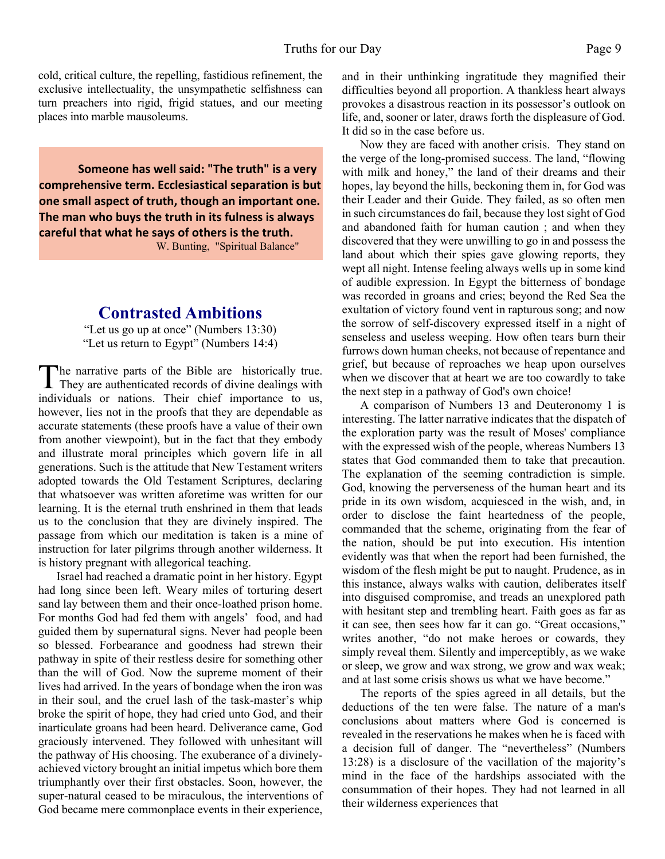cold, critical culture, the repelling, fastidious refinement, the exclusive intellectuality, the unsympathetic selfishness can turn preachers into rigid, frigid statues, and our meeting places into marble mausoleums.

**Someone has well said: "The truth" is a very comprehensive term. Ecclesiastical separation is but one small aspect of truth, though an important one. The man who buys the truth in its fulness is always careful that what he says of others is the truth.** W. Bunting, "Spiritual Balance"

# **Contrasted Ambitions**

"Let us go up at once" (Numbers 13:30) "Let us return to Egypt" (Numbers 14:4)

The narrative parts of the Bible are historically true.<br>They are authenticated records of divine dealings with The narrative parts of the Bible are historically true. individuals or nations. Their chief importance to us, however, lies not in the proofs that they are dependable as accurate statements (these proofs have a value of their own from another viewpoint), but in the fact that they embody and illustrate moral principles which govern life in all generations. Such is the attitude that New Testament writers adopted towards the Old Testament Scriptures, declaring that whatsoever was written aforetime was written for our learning. It is the eternal truth enshrined in them that leads us to the conclusion that they are divinely inspired. The passage from which our meditation is taken is a mine of instruction for later pilgrims through another wilderness. It is history pregnant with allegorical teaching.

 Israel had reached a dramatic point in her history. Egypt had long since been left. Weary miles of torturing desert sand lay between them and their once-loathed prison home. For months God had fed them with angels' food, and had guided them by supernatural signs. Never had people been so blessed. Forbearance and goodness had strewn their pathway in spite of their restless desire for something other than the will of God. Now the supreme moment of their lives had arrived. In the years of bondage when the iron was in their soul, and the cruel lash of the task-master's whip broke the spirit of hope, they had cried unto God, and their inarticulate groans had been heard. Deliverance came, God graciously intervened. They followed with unhesitant will the pathway of His choosing. The exuberance of a divinelyachieved victory brought an initial impetus which bore them triumphantly over their first obstacles. Soon, however, the super-natural ceased to be miraculous, the interventions of God became mere commonplace events in their experience,

and in their unthinking ingratitude they magnified their difficulties beyond all proportion. A thankless heart always provokes a disastrous reaction in its possessor's outlook on life, and, sooner or later, draws forth the displeasure of God. It did so in the case before us.

 Now they are faced with another crisis. They stand on the verge of the long-promised success. The land, "flowing with milk and honey," the land of their dreams and their hopes, lay beyond the hills, beckoning them in, for God was their Leader and their Guide. They failed, as so often men in such circumstances do fail, because they lost sight of God and abandoned faith for human caution ; and when they discovered that they were unwilling to go in and possess the land about which their spies gave glowing reports, they wept all night. Intense feeling always wells up in some kind of audible expression. In Egypt the bitterness of bondage was recorded in groans and cries; beyond the Red Sea the exultation of victory found vent in rapturous song; and now the sorrow of self-discovery expressed itself in a night of senseless and useless weeping. How often tears burn their furrows down human cheeks, not because of repentance and grief, but because of reproaches we heap upon ourselves when we discover that at heart we are too cowardly to take the next step in a pathway of God's own choice!

 A comparison of Numbers 13 and Deuteronomy 1 is interesting. The latter narrative indicates that the dispatch of the exploration party was the result of Moses' compliance with the expressed wish of the people, whereas Numbers 13 states that God commanded them to take that precaution. The explanation of the seeming contradiction is simple. God, knowing the perverseness of the human heart and its pride in its own wisdom, acquiesced in the wish, and, in order to disclose the faint heartedness of the people, commanded that the scheme, originating from the fear of the nation, should be put into execution. His intention evidently was that when the report had been furnished, the wisdom of the flesh might be put to naught. Prudence, as in this instance, always walks with caution, deliberates itself into disguised compromise, and treads an unexplored path with hesitant step and trembling heart. Faith goes as far as it can see, then sees how far it can go. "Great occasions," writes another, "do not make heroes or cowards, they simply reveal them. Silently and imperceptibly, as we wake or sleep, we grow and wax strong, we grow and wax weak; and at last some crisis shows us what we have become."

 The reports of the spies agreed in all details, but the deductions of the ten were false. The nature of a man's conclusions about matters where God is concerned is revealed in the reservations he makes when he is faced with a decision full of danger. The "nevertheless" (Numbers 13:28) is a disclosure of the vacillation of the majority's mind in the face of the hardships associated with the consummation of their hopes. They had not learned in all their wilderness experiences that